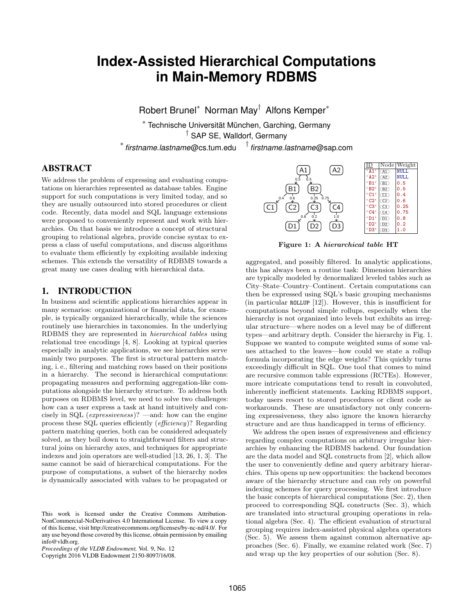# **Index-Assisted Hierarchical Computations in Main-Memory RDBMS**

Robert Brunel<sup>∗</sup> Norman May† Alfons Kemper<sup>∗</sup>

\* Technische Universität München, Garching, Germany

† SAP SE, Walldorf, Germany

∗ *firstname*.*lastname*@cs.tum.edu † *firstname*.*lastname*@sap.com

# ABSTRACT

We address the problem of expressing and evaluating computations on hierarchies represented as database tables. Engine support for such computations is very limited today, and so they are usually outsourced into stored procedures or client code. Recently, data model and SQL language extensions were proposed to conveniently represent and work with hierarchies. On that basis we introduce a concept of structural grouping to relational algebra, provide concise syntax to express a class of useful computations, and discuss algorithms to evaluate them efficiently by exploiting available indexing schemes. This extends the versatility of RDBMS towards a great many use cases dealing with hierarchical data.

## 1. INTRODUCTION

In business and scientific applications hierarchies appear in many scenarios: organizational or financial data, for example, is typically organized hierarchically, while the sciences routinely use hierarchies in taxonomies. In the underlying RDBMS they are represented in hierarchical tables using relational tree encodings [4, 8]. Looking at typical queries especially in analytic applications, we see hierarchies serve mainly two purposes. The first is structural pattern matching, i. e., filtering and matching rows based on their positions in a hierarchy. The second is hierarchical computations: propagating measures and performing aggregation-like computations alongside the hierarchy structure. To address both purposes on RDBMS level, we need to solve two challenges: how can a user express a task at hand intuitively and concisely in SQL (expressiveness)? —and: how can the engine process these SQL queries efficiently (efficiency)? Regarding pattern matching queries, both can be considered adequately solved, as they boil down to straightforward filters and structural joins on hierarchy axes, and techniques for appropriate indexes and join operators are well-studied [13, 26, 1, 3]. The same cannot be said of hierarchical computations. For the purpose of computations, a subset of the hierarchy nodes is dynamically associated with values to be propagated or

Copyright 2016 VLDB Endowment 2150-8097/16/08.



Figure 1: A hierarchical table HT

aggregated, and possibly filtered. In analytic applications, this has always been a routine task: Dimension hierarchies are typically modeled by denormalized leveled tables such as City–State–Country–Continent. Certain computations can then be expressed using SQL's basic grouping mechanisms (in particular ROLLUP [12]). However, this is insufficient for computations beyond simple rollups, especially when the hierarchy is not organized into levels but exhibits an irregular structure—where nodes on a level may be of different types—and arbitrary depth. Consider the hierarchy in Fig. 1. Suppose we wanted to compute weighted sums of some values attached to the leaves—how could we state a rollup formula incorporating the edge weights? This quickly turns exceedingly difficult in SQL. One tool that comes to mind are recursive common table expressions (RCTEs). However, more intricate computations tend to result in convoluted, inherently inefficient statements. Lacking RDBMS support, today users resort to stored procedures or client code as workarounds. These are unsatisfactory not only concerning expressiveness, they also ignore the known hierarchy structure and are thus handicapped in terms of efficiency.

We address the open issues of expressiveness and efficiency regarding complex computations on arbitrary irregular hierarchies by enhancing the RDBMS backend. Our foundation are the data model and SQL constructs from [2], which allow the user to conveniently define and query arbitrary hierarchies. This opens up new opportunities: the backend becomes aware of the hierarchy structure and can rely on powerful indexing schemes for query processing. We first introduce the basic concepts of hierarchical computations (Sec. 2), then proceed to corresponding SQL constructs (Sec. 3), which are translated into structural grouping operations in relational algebra (Sec. 4). The efficient evaluation of structural grouping requires index-assisted physical algebra operators (Sec. 5). We assess them against common alternative approaches (Sec. 6). Finally, we examine related work (Sec. 7) and wrap up the key properties of our solution (Sec. 8).

This work is licensed under the Creative Commons Attribution-NonCommercial-NoDerivatives 4.0 International License. To view a copy of this license, visit http://creativecommons.org/licenses/by-nc-nd/4.0/. For any use beyond those covered by this license, obtain permission by emailing info@vldb.org.

*Proceedings of the VLDB Endowment,* Vol. 9, No. 12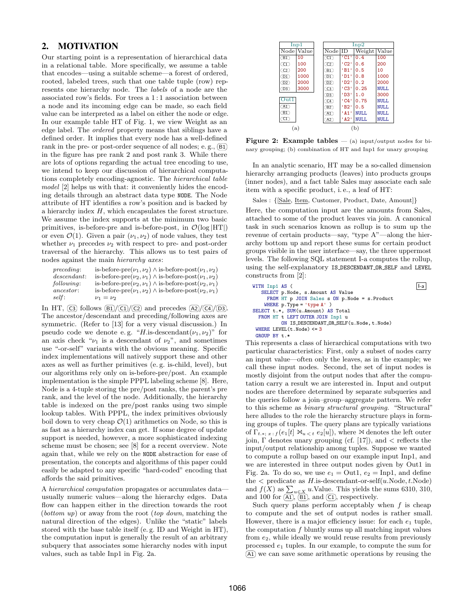# 2. MOTIVATION

Our starting point is a representation of hierarchical data in a relational table. More specifically, we assume a table that encodes—using a suitable scheme—a forest of ordered, rooted, labeled trees, such that one table tuple (row) represents one hierarchy node. The labels of a node are the associated row's fields. For trees a 1 : 1 association between a node and its incoming edge can be made, so each field value can be interpreted as a label on either the node or edge. In our example table HT of Fig. 1, we view Weight as an edge label. The ordered property means that siblings have a defined order. It implies that every node has a well-defined rank in the pre- or post-order sequence of all nodes; e.g.,  $(B1)$ in the figure has pre rank 2 and post rank 3. While there are lots of options regarding the actual tree encoding to use, we intend to keep our discussion of hierarchical computations completely encoding-agnostic. The hierarchical table model [2] helps us with that: it conveniently hides the encoding details through an abstract data type NODE. The Node attribute of HT identifies a row's position and is backed by a hierarchy index  $H$ , which encapsulates the forest structure. We assume the index supports at the minimum two basic primitives, is-before-pre and is-before-post, in  $\mathcal{O}(\log |HT|)$ or even  $\mathcal{O}(1)$ . Given a pair  $(\nu_1, \nu_2)$  of node values, they test whether  $\nu_1$  precedes  $\nu_2$  with respect to pre- and post-order traversal of the hierarchy. This allows us to test pairs of nodes against the main hierarchy axes:

| preceding:   | is-before-pre $(\nu_1, \nu_2) \wedge$ is-before-post $(\nu_1, \nu_2)$     |
|--------------|---------------------------------------------------------------------------|
| descendant:  | is-before-pre( $\nu_2, \nu_1$ ) $\wedge$ is-before-post( $\nu_1, \nu_2$ ) |
| following:   | is-before-pre $(\nu_2, \nu_1) \wedge$ is-before-post $(\nu_2, \nu_1)$     |
| $ancestor$ : | is-before-pre $(\nu_1, \nu_2) \wedge$ is-before-post $(\nu_2, \nu_1)$     |
| self:        | $\nu_1 = \nu_2$                                                           |

In HT,  $\overline{C3}$  follows  $\overline{B1}/\overline{C1}/\overline{C2}$  and precedes  $\overline{A2}/\overline{C4}/\overline{D3}$ . The ancestor/descendant and preceding/following axes are symmetric. (Refer to [13] for a very visual discussion.) In pseudo code we denote e.g. "H.is-descendant $(\nu_1, \nu_2)$ " for an axis check " $\nu_1$  is a descendant of  $\nu_2$ ", and sometimes use "-or-self" variants with the obvious meaning. Specific index implementations will natively support these and other axes as well as further primitives (e. g. is-child, level), but our algorithms rely only on is-before-pre/post. An example implementation is the simple PPPL labeling scheme [8]. Here, Node is a 4-tuple storing the pre/post ranks, the parent's pre rank, and the level of the node. Additionally, the hierarchy table is indexed on the pre/post ranks using two simple lookup tables. With PPPL, the index primitives obviously boil down to very cheap  $\mathcal{O}(1)$  arithmetics on Node, so this is as fast as a hierarchy index can get. If some degree of update support is needed, however, a more sophisticated indexing scheme must be chosen; see [8] for a recent overview. Note again that, while we rely on the NODE abstraction for ease of presentation, the concepts and algorithms of this paper could easily be adapted to any specific "hard-coded" encoding that affords the said primitives.

A hierarchical computation propagates or accumulates data usually numeric values—along the hierarchy edges. Data flow can happen either in the direction towards the root  $(\text{bottom } up)$  or away from the root  $(\text{top } down, \text{matching the})$ natural direction of the edges). Unlike the "static" labels stored with the base table itself (e. g. ID and Weight in HT), the computation input is generally the result of an arbitrary subquery that associates some hierarchy nodes with input values, such as table Inp1 in Fig. 2a.

| Inp1                               |       |   | $\text{Inp2}$    |                                      |             |             |  |  |
|------------------------------------|-------|---|------------------|--------------------------------------|-------------|-------------|--|--|
| Nodel                              | Value |   | $Node$ ID        |                                      | Weight      | Value       |  |  |
| (BI)                               | 10    |   | $\overline{C1}$  | $^{\circ}$ C1 $^{\circ}$             | 0.4         | 100         |  |  |
| $\overline{C1}$                    | 100   |   | $\overline{C2}$  | $^{\circ}$ C <sub>2</sub> $^{\circ}$ | 0.6         | 200         |  |  |
| $\overline{C2}$                    | 200   |   | (B1)             | ' B1 '                               | 0.5         | 10          |  |  |
| $\circled{\scriptstyle\textrm{D}}$ | 1000  |   | $\overline{CD1}$ | $'$ D1 $'$                           | 0.8         | 1000        |  |  |
| (D2)                               | 2000  |   | (D2)             | $'$ D2 $'$                           | 0.2         | 2000        |  |  |
| (D3)                               | 3000  |   | $\overline{C3}$  | $'$ C3 $'$                           | 0.25        | NULL.       |  |  |
|                                    |       |   | $\sqrt{D3}$      | $'$ D3 $'$                           | 1.0         | 3000        |  |  |
| Out1                               |       |   | $\overline{C4}$  | °C4'                                 | 0.75        | NULL.       |  |  |
| (41)                               |       |   | (B2)             | 'B2'                                 | 0.5         | NULL.       |  |  |
| (BI)                               |       |   | $\overline{A1}$  | $'$ A1 $'$                           | NULL.       | NULL.       |  |  |
| ŒD                                 |       |   | $\overline{A2}$  | $'$ A2 $'$                           | <b>NULL</b> | <b>NULL</b> |  |  |
| (a)                                |       | b |                  |                                      |             |             |  |  |

**Figure 2: Example tables**  $-$  (a) input/output nodes for binary grouping; (b) combination of HT and Inp1 for unary grouping

In an analytic scenario, HT may be a so-called dimension hierarchy arranging products (leaves) into products groups (inner nodes), and a fact table Sales may associate each sale item with a specific product, i. e., a leaf of HT:

Sales :  $\{[Sale, Item, Customer, Product, Date, Amount]\}$ 

Here, the computation input are the amounts from Sales, attached to some of the product leaves via join. A canonical task in such scenarios known as rollup is to sum up the revenue of certain products—say, "type A"—along the hierarchy bottom up and report these sums for certain product groups visible in the user interface—say, the three uppermost levels. The following SQL statement I-a computes the rollup, using the self-explanatory IS DESCENDANT OR SELF and LEVEL constructs from [2]:

```
WITH Inp1 AS (
  SELECT p.Node, s.Amount AS Value
    FROM HT p JOIN Sales s ON p.Node = s. Product
   WHERE p.Type = 'type A' )
SELECT t.*, SUM(u.Amount) AS Total
 FROM HT t LEFT OUTER JOIN Inp1 u
        ON IS DESCENDANT OR SELF(u.Node, t.Node)
WHERE LEVEL(t.Node) \leq 3GROUP BY t.*
```
This represents a class of hierarchical computations with two particular characteristics: First, only a subset of nodes carry an input value—often only the leaves, as in the example; we call these input nodes. Second, the set of input nodes is mostly disjoint from the output nodes that after the computation carry a result we are interested in. Input and output nodes are therefore determined by separate subqueries and the queries follow a join–group–aggregate pattern. We refer to this scheme as binary structural grouping. "Structural" here alludes to the role the hierarchy structure plays in forming groups of tuples. The query plans are typically variations of  $\Gamma_{t, *; x : f}(e_1[t] \bowtie_{u < t} e_2[u])$ , where  $\bowtie$  denotes the left outer join, Γ denotes unary grouping (cf. [17]), and < reflects the input/output relationship among tuples. Suppose we wanted to compute a rollup based on our example input Inp1, and we are interested in three output nodes given by Out1 in Fig. 2a. To do so, we use  $e_1 = \text{Out1}, e_2 = \text{Inp1},$  and define the  $\lt$  predicate as H.is-descendant-or-self(u.Node, t.Node) and  $f(X)$  as  $\sum_{u \in X} u$ . Value. This yields the sums 6310, 310, and 100 for  $(A1)$ ,  $(B1)$ , and  $(C1)$ , respectively.

Such query plans perform acceptably when  $f$  is cheap to compute and the set of output nodes is rather small. However, there is a major efficiency issue: for each  $e_1$  tuple, the computation  $f$  bluntly sums up all matching input values from  $e_2$ , while ideally we would reuse results from previously processed  $e_1$  tuples. In our example, to compute the sum for A1 we can save some arithmetic operations by reusing the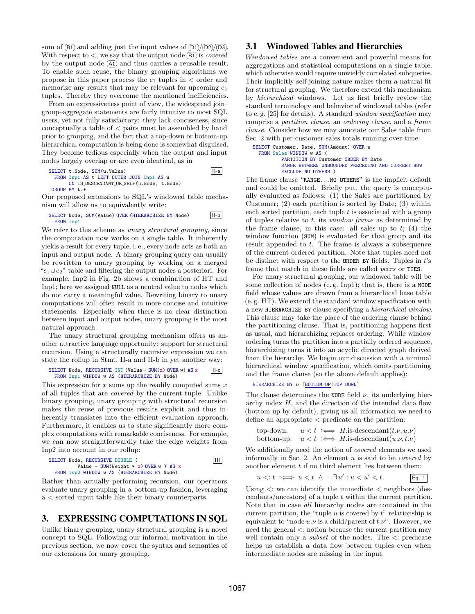sum of  $(B1)$  and adding just the input values of  $(D1)/(D2)/(D3)$ . With respect to  $\lt$ , we say that the output node  $(B1)$  is *covered* by the output node  $\overline{A1}$  and thus carries a reusable result. To enable such reuse, the binary grouping algorithms we propose in this paper process the  $e_1$  tuples in  $\lt$  order and memorize any results that may be relevant for upcoming  $e_1$ tuples. Thereby they overcome the mentioned inefficiencies.

From an expressiveness point of view, the widespread join– group–aggregate statements are fairly intuitive to most SQL users, yet not fully satisfactory: they lack conciseness, since conceptually a table of  $\lt$  pairs must be assembled by hand prior to grouping, and the fact that a top-down or bottom-up hierarchical computation is being done is somewhat disguised. They become tedious especially when the output and input nodes largely overlap or are even identical, as in

#### SELECT t.Node, SUM(u.Value) II-a FROM Inp1 AS t LEFT OUTER JOIN Inp1 AS u ON IS DESCENDANT OR SELF(u.Node, t.Node) GROUP BY t.\*

Our proposed extensions to SQL's windowed table mechanism will allow us to equivalently write:

#### SELECT Node, SUM(Value) OVER (HIERARCHIZE BY Node) II-b FROM Inp1

We refer to this scheme as *unary structural grouping*, since the computation now works on a single table. It inherently yields a result for every tuple, i. e., every node acts as both an input and output node. A binary grouping query can usually be rewritten to unary grouping by working on a merged  $'e_1 \cup e_2$ " table and filtering the output nodes a posteriori. For example, Inp2 in Fig. 2b shows a combination of HT and Inp1; here we assigned NULL as a neutral value to nodes which do not carry a meaningful value. Rewriting binary to unary computations will often result in more concise and intuitive statements. Especially when there is no clear distinction between input and output nodes, unary grouping is the most natural approach.

The unary structural grouping mechanism offers us another attractive language opportunity: support for structural recursion. Using a structurally recursive expression we can state the rollup in Stmt. II-a and II-b in yet another way:

#### SELECT Node, RECURSIVE INT (Value + SUM(x) OVER w) AS  $x$  | II-c FROM Inp1 WINDOW w AS (HIERARCHIZE BY Node)

This expression for  $x$  sums up the readily computed sums  $x$ of all tuples that are covered by the current tuple. Unlike binary grouping, unary grouping with structural recursion makes the reuse of previous results explicit and thus inherently translates into the efficient evaluation approach. Furthermore, it enables us to state significantly more complex computations with remarkable conciseness. For example, we can now straightforwardly take the edge weights from Inp2 into account in our rollup:

SELECT Node, RECURSIVE DOUBLE ( III Value + SUM(Weight \* x) OVER w ) AS x FROM Inp2 WINDOW w AS (HIERARCHIZE BY Node)

Rather than actually performing recursion, our operators evaluate unary grouping in a bottom-up fashion, leveraging a <-sorted input table like their binary counterparts.

# 3. EXPRESSING COMPUTATIONS IN SQL

Unlike binary grouping, unary structural grouping is a novel concept to SQL. Following our informal motivation in the previous section, we now cover the syntax and semantics of our extensions for unary grouping.

# 3.1 Windowed Tables and Hierarchies

Windowed tables are a convenient and powerful means for aggregations and statistical computations on a single table, which otherwise would require unwieldy correlated subqueries. Their implicitly self-joining nature makes them a natural fit for structural grouping. We therefore extend this mechanism by hierarchical windows. Let us first briefly review the standard terminology and behavior of windowed tables (refer to e. g. [25] for details). A standard window specification may comprise a partition clause, an ordering clause, and a frame clause. Consider how we may annotate our Sales table from Sec. 2 with per-customer sales totals running over time:

```
SELECT Customer, Date, SUM(Amount) OVER w
 FROM Sales WINDOW w AS (
          PARTITION BY Customer ORDER BY Date
          RANGE BETWEEN UNBOUNDED PRECEDING AND CURRENT ROW
          EXCLUDE NO OTHERS )
```
The frame clause "RANGE...NO OTHERS" is the implicit default and could be omitted. Briefly put, the query is conceptually evaluated as follows: (1) the Sales are partitioned by Customer; (2) each partition is sorted by Date; (3) within each sorted partition, each tuple  $t$  is associated with a group of tuples relative to  $t$ , its *window frame* as determined by the frame clause, in this case: all sales up to  $t$ ; (4) the window function (SUM) is evaluated for that group and its result appended to  $t$ . The frame is always a subsequence of the current ordered partition. Note that tuples need not be distinct with respect to the ORDER BY fields. Tuples in  $t$ 's frame that match in these fields are called peers or TIES.

For unary structural grouping, our windowed table will be some collection of nodes (e. g. Inp1); that is, there is a NODE field whose values are drawn from a hierarchical base table (e. g. HT). We extend the standard window specification with a new HIERARCHIZE BY clause specifying a hierarchical window. This clause may take the place of the ordering clause behind the partitioning clause. That is, partitioning happens first as usual, and hierarchizing replaces ordering. While window ordering turns the partition into a partially ordered sequence, hierarchizing turns it into an acyclic directed graph derived from the hierarchy. We begin our discussion with a minimal hierarchical window specification, which omits partitioning and the frame clause (so the above default applies):

```
HIERARCHIZE BY ν [BOTTOM UP|TOP DOWN]
```
The clause determines the NODE field  $\nu$ , its underlying hierarchy index  $H$ , and the direction of the intended data flow (bottom up by default), giving us all information we need to define an appropriate < predicate on the partition:

```
top-down: u < t \iff H.is-descendant(t.\nu, u.\nu)bottom-up: u < t : \Longleftrightarrow H.is-descendant(u.\nu, t.\nu)
```
We additionally need the notion of covered elements we used informally in Sec. 2. An element  $u$  is said to be *covered* by another element  $t$  if no third element lies between them:

$$
u <: t \iff u < t \land \neg \exists u' : u < u' < t. \tag{Eq. 1}
$$

Using  $\lt$ : we can identify the immediate  $\lt$  neighbors (descendants/ancestors) of a tuple t within the current partition. Note that in case all hierarchy nodes are contained in the current partition, the "tuple  $u$  is covered by  $t$ " relationship is equivalent to "node  $u.\nu$  is a child/parent of  $t.\nu$ ". However, we need the general <: notion because the current partition may well contain only a *subset* of the nodes. The  $\lt$ : predicate helps us establish a data flow between tuples even when intermediate nodes are missing in the input.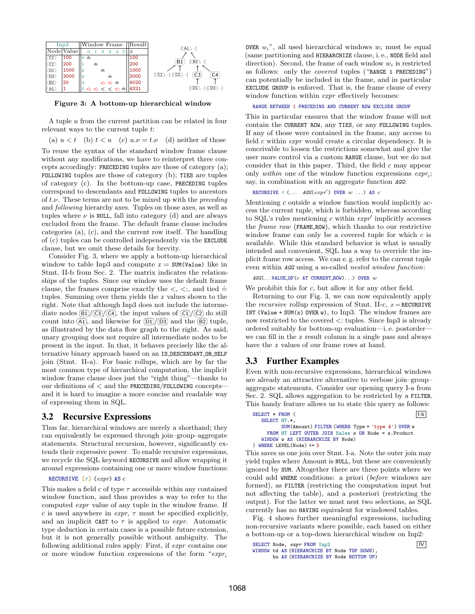

Figure 3: A bottom-up hierarchical window

A tuple u from the current partition can be related in four relevant ways to the current tuple t:

(a)  $u < t$  (b)  $t < u$  (c)  $u \cdot \nu = t \cdot \nu$  (d) neither of those

To reuse the syntax of the standard window frame clause without any modifications, we have to reinterpret three concepts accordingly: PRECEDING tuples are those of category (a); FOLLOWING tuples are those of category (b); TIES are tuples of category (c). In the bottom-up case, PRECEDING tuples correspond to descendants and FOLLOWING tuples to ancestors of  $t.\nu$ . These terms are not to be mixed up with the *preceding* and following hierarchy axes. Tuples on those axes, as well as tuples where  $\nu$  is NULL, fall into category (d) and are always excluded from the frame. The default frame clause includes categories (a), (c), and the current row itself. The handling of (c) tuples can be controlled independently via the EXCLUDE clause, but we omit these details for brevity.

Consider Fig. 3, where we apply a bottom-up hierarchical window to table Inp3 and compute  $x = \text{SUM}(\text{Value})$  like in Stmt. II-b from Sec. 2. The matrix indicates the relationships of the tuples. Since our window uses the default frame clause, the frames comprise exactly the  $\lt$ ,  $\lt$ :, and tied  $\hat{=}$ tuples. Summing over them yields the  $x$  values shown to the right. Note that although Inp3 does not include the intermediate nodes  $\boxed{B1}/\boxed{C3}/\boxed{C4}$ , the input values of  $\boxed{C1}/\boxed{C2}$  do still count into  $\overline{A1}$ , and likewise for  $\overline{D1}/\overline{D3}$  and the  $\overline{B2}$  tuple, as illustrated by the data flow graph to the right. As said, unary grouping does not require all intermediate nodes to be present in the input. In that, it behaves precisely like the alternative binary approach based on an IS DESCENDANT OR SELF join (Stmt. II-a). For basic rollups, which are by far the most common type of hierarchical computation, the implicit window frame clause does just the "right thing"—thanks to our definitions of  $\lt$  and the PRECEDING/FOLLOWING concepts and it is hard to imagine a more concise and readable way of expressing them in SQL.

#### 3.2 Recursive Expressions

Thus far, hierarchical windows are merely a shorthand; they can equivalently be expressed through join–group–aggregate statements. Structural recursion, however, significantly extends their expressive power. To enable recursive expressions, we recycle the SQL keyword RECURSIVE and allow wrapping it around expressions containing one or more window functions:

#### RECURSIVE  $[\tau]$  (expr) AS c

This makes a field c of type  $\tau$  accessible within any contained window function, and thus provides a way to refer to the computed expr value of any tuple in the window frame. If c is used anywhere in  $expr$ ,  $\tau$  must be specified explicitly, and an implicit CAST to  $\tau$  is applied to *expr*. Automatic type deduction in certain cases is a possible future extension, but it is not generally possible without ambiguity. The following additional rules apply: First, if expr contains one or more window function expressions of the form " $\exp r_i$ "

**OVER**  $w_i$ <sup>"</sup>, all used hierarchical windows  $w_i$  must be equal (same partitioning and HIERARCHIZE clause, i. e., NODE field and direction). Second, the frame of each window  $w_i$  is restricted as follows: only the covered tuples ("RANGE 1 PRECEDING") can potentially be included in the frame, and in particular EXCLUDE GROUP is enforced. That is, the frame clause of every window function within *expr* effectively becomes:

#### RANGE BETWEEN 1 PRECEDING AND CURRENT ROW EXCLUDE GROUP

This in particular ensures that the window frame will not contain the CURRENT ROW, any TIES, or any FOLLOWING tuples. If any of those were contained in the frame, any access to field  $c$  within  $expr$  would create a circular dependency. It is conceivable to loosen the restrictions somewhat and give the user more control via a custom RANGE clause, but we do not consider that in this paper. Third, the field  $c$  may appear only *within* one of the window function expressions  $\exp r_i$ ; say, in combination with an aggregate function AGG:

```
RECURSIVE \tau (... AGG(expr') OVER w ...) AS c
```
Mentioning c outside a window function would implicitly access the current tuple, which is forbidden, whereas according to SQL's rules mentioning c within  $\exp r'$  implicitly accesses the frame row (FRAME ROW), which thanks to our restrictive window frame can only be a covered tuple for which  $c$  is available. While this standard behavior is what is usually intended and convenient, SQL has a way to override the implicit frame row access. We can e. g. refer to the current tuple even within AGG using a so-called nested window function:

 $AGG$ (...VALUE OF(c AT CURRENT ROW)...) OVER  $w$ 

We prohibit this for c, but allow it for any other field.

Returning to our Fig. 3, we can now equivalently apply the recursive rollup expression of Stmt. II-c,  $x = RECURSIVE$ INT (Value + SUM(x) OVER w), to Inp3. The window frames are now restricted to the covered <: tuples. Since Inp3 is already ordered suitably for bottom-up evaluation—i. e. postorder we can fill in the  $x$  result column in a single pass and always have the x values of our frame rows at hand.

#### 3.3 Further Examples

Even with non-recursive expressions, hierarchical windows are already an attractive alternative to verbose join–group– aggregate statements. Consider our opening query I-a from Sec. 2. SQL allows aggregation to be restricted by a FILTER. This handy feature allows us to state this query as follows:

```
SELECT * FROM (SELECT HT.*,
        SUM(Amount) FILTER (WHERE Type = 'type A') OVER w
   FROM HT LEFT OUTER JOIN Sales s ON Node = s.Product
  WINDOW w AS (HIERARCHIZE BY Node)
) WHERE LEVEL(Node) <= 3
```
This saves us one join over Stmt. I-a. Note the outer join may yield tuples where Amount is NULL, but these are conveniently ignored by SUM. Altogether there are three points where we could add WHERE conditions: a priori (before windows are formed), as FILTER (restricting the computation input but not affecting the table), and a posteriori (restricting the output). For the latter we must nest two selections, as SQL currently has no HAVING equivalent for windowed tables.

Fig. 4 shows further meaningful expressions, including non-recursive variants where possible, each based on either a bottom-up or a top-down hierarchical window on Inp2:

```
SELECT Node, expr FROM Inp2 |V|WINDOW td AS (HIERARCHIZE BY Node TOP DOWN),
     bu AS (HIERARCHIZE BY Node BOTTOM UP)
```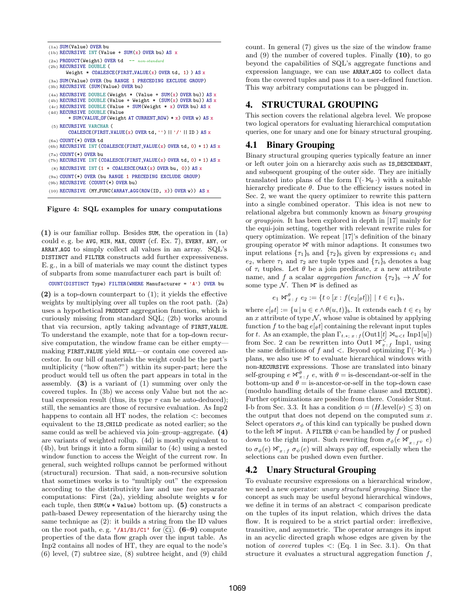```
(1a) SUM(Value) OVER bu
(1b) RECURSIVE INT (Value + SUM(x) OVER bu) AS x
(2a) PRODUCT(Weight) OVER td -- non-standard
(2b) RECURSIVE DOUBLE (
      Weight * COALESCE(FIRST_VALUE(x) OVERtd, 1) ) AS x
(3a) SUM(Value) OVER (bu RANGE 1 PRECEDING EXCLUDE GROUP)
(3b) RECURSIVE (SUM(Value) OVER bu)
(4a) RECURSIVE DOUBLE (Weight * (Value + SUM(x) OVER bu)) AS x
(4b) RECURSIVE DOUBLE (Value + Weight * (SUM(x) OVER bu)) AS x
(4c) RECURSIVE DOUBLE (Value + SUM(Weight * x) OVER bu) AS x
(4d) RECURSIVE DOUBLE (Value
       + SUM(VALUE_OF(Weight AT CURRENT_ROW) * x) OVER w) AS x
 (5) RECURSIVE VARCHAR (
       COALESCE(FIRST_VALUE(x) OVER td, '') || '/' || ID) AS x
(6a) COUNT(*) OVER td
(6b) RECURSIVE INT (COALESCE(FIRST_VALUE(x) OVER td, 0) + 1) AS x
(7a) COUNT(*) OVER bu
(7b) RECURSIVE INT (COALESCE(FIRST_VALUE(x) OVER td, 0) + 1) AS x
 (8) RECURSIVE INT (1 + \text{COALESCE}(\text{MAX}(x) \text{ OVER bu}, 0)) AS x
(9a) COUNT(*) OVER (bu RANGE 1 PRECEDING EXCLUDE GROUP)
(9b) RECURSIVE (COUNT(*) OVER bu)
```
(10) RECURSIVE (MY FUNC(ARRAY AGG(ROW(ID, x)) OVER w)) AS x

Figure 4: SQL examples for unary computations

(1) is our familiar rollup. Besides SUM, the operation in (1a) could e. g. be AVG, MIN, MAX, COUNT (cf. Ex. 7), EVERY, ANY, or ARRAY AGG to simply collect all values in an array. SQL's DISTINCT and FILTER constructs add further expressiveness. E. g., in a bill of materials we may count the distinct types of subparts from some manufacturer each part is built of:

COUNT(DISTINCT Type) FILTER(WHERE Manufacturer = 'A') OVER bu

(2) is a top-down counterpart to (1); it yields the effective weights by multiplying over all tuples on the root path. (2a) uses a hypothetical PRODUCT aggregation function, which is curiously missing from standard SQL; (2b) works around that via recursion, aptly taking advantage of FIRST VALUE. To understand the example, note that for a top-down recursive computation, the window frame can be either empty making FIRST VALUE yield NULL—or contain one covered ancestor. In our bill of materials the weight could be the part's multiplicity ("how often?") within its super-part; here the product would tell us often the part appears in total in the assembly.  $(3)$  is a variant of  $(1)$  summing over only the covered tuples. In (3b) we access only Value but not the actual expression result (thus, its type  $\tau$  can be auto-deduced); still, the semantics are those of recursive evaluation. As Inp2 happens to contain all HT nodes, the relation  $\lt$ : becomes equivalent to the IS CHILD predicate as noted earlier; so the same could as well be achieved via join–group–aggregate. (4) are variants of weighted rollup. (4d) is mostly equivalent to (4b), but brings it into a form similar to (4c) using a nested window function to access the Weight of the current row. In general, such weighted rollups cannot be performed without (structural) recursion. That said, a non-recursive solution that sometimes works is to "multiply out" the expression according to the distributivity law and use two separate computations: First  $(2a)$ , yielding absolute weights w for each tuple, then  $SUM(w * Value)$  bottom up. (5) constructs a path-based Dewey representation of the hierarchy using the same technique as (2): it builds a string from the ID values on the root path, e.g. '/A1/B1/C1' for  $\overline{C1}$ . (6–9) compute properties of the data flow graph over the input table. As Inp2 contains all nodes of HT, they are equal to the node's (6) level, (7) subtree size, (8) subtree height, and (9) child

count. In general (7) gives us the size of the window frame and  $(9)$  the number of covered tuples. Finally  $(10)$ , to go beyond the capabilities of SQL's aggregate functions and expression language, we can use ARRAY AGG to collect data from the covered tuples and pass it to a user-defined function. This way arbitrary computations can be plugged in.

# 4. STRUCTURAL GROUPING

This section covers the relational algebra level. We propose two logical operators for evaluating hierarchical computation queries, one for unary and one for binary structural grouping.

## 4.1 Binary Grouping

Binary structural grouping queries typically feature an inner or left outer join on a hierarchy axis such as IS DESCENDANT, and subsequent grouping of the outer side. They are initially translated into plans of the form  $\Gamma(\cdot \bowtie_{\theta} \cdot)$  with a suitable hierarchy predicate  $\theta$ . Due to the efficiency issues noted in Sec. 2, we want the query optimizer to rewrite this pattern into a single combined operator. This idea is not new to relational algebra but commonly known as binary grouping or groupjoin. It has been explored in depth in [17] mainly for the equi-join setting, together with relevant rewrite rules for query optimization. We repeat [17]'s definition of the binary grouping operator  $\mathbb{M}$  with minor adaptions. It consumes two input relations  $\{\tau_1\}_b$  and  $\{\tau_2\}_b$  given by expressions  $e_1$  and e<sub>2</sub>, where  $\tau_1$  and  $\tau_2$  are tuple types and  $\{\tau_i\}_b$  denotes a bag of  $\tau_i$  tuples. Let  $\theta$  be a join predicate, x a new attribute name, and f a scalar aggregation function  $\{\tau_2\}_b \to \mathcal{N}$  for some type  $\mathcal N$ . Then  $\mathbb N$  is defined as

$$
e_1 \bowtie_{x \,:\, f}^{\theta} \, e_2 := \{ t \circ [x : f(e_2[\theta t])] \mid t \in e_1 \}_b,
$$

where  $e[\theta t] := \{u \mid u \in e \land \theta(u, t)\}\$ . It extends each  $t \in e_1$  by an x attribute of type  $\mathcal N$ , whose value is obtained by applying function f to the bag  $e[\theta t]$  containing the relevant input tuples for t. As an example, the plan  $\Gamma_{t.*; x : f}(\text{Out1}[t] \bowtie_{u < t} \text{Inp1}[u])$ from Sec. 2 can be rewritten into Out1  $\mathbb{W}_{x,f}^{\leq}$  Inp1, using the same definitions of f and <. Beyond optimizing  $\Gamma(\cdot \bowtie_{\theta} \cdot)$ plans, we also use  $\bowtie$  to evaluate hierarchical windows with non-RECURSIVE expressions. Those are translated into binary self-grouping  $e \bowtie_{x+f}^{\theta} e$ , with  $\theta =$  is-descendant-or-self in the bottom-up and  $\theta =$  is-ancestor-or-self in the top-down case (modulo handling details of the frame clause and EXCLUDE). Further optimizations are possible from there. Consider Stmt. I-b from Sec. 3.3. It has a condition  $\phi = (H \text{.} level(\nu) \leq 3)$  on the output that does not depend on the computed sum  $x$ . Select operators  $\sigma_{\phi}$  of this kind can typically be pushed down to the left  $\mathbb N$  input. A FILTER  $\psi$  can be handled by f or pushed down to the right input. Such rewriting from  $\sigma_{\phi}(e \bowtie_{x \colon f^{\psi}} e)$ to  $\sigma_{\phi}(e) \bowtie_{x \in \mathcal{F}} \sigma_{\psi}(e)$  will always pay off, especially when the selections can be pushed down even further.

#### 4.2 Unary Structural Grouping

To evaluate recursive expressions on a hierarchical window, we need a new operator: unary structural grouping. Since the concept as such may be useful beyond hierarchical windows, we define it in terms of an abstract < comparison predicate on the tuples of its input relation, which drives the data flow. It is required to be a strict partial order: irreflexive, transitive, and asymmetric. The operator arranges its input in an acyclic directed graph whose edges are given by the notion of *covered* tuples  $\lt$ : (Eq. 1 in Sec. 3.1). On that structure it evaluates a structural aggregation function  $f$ ,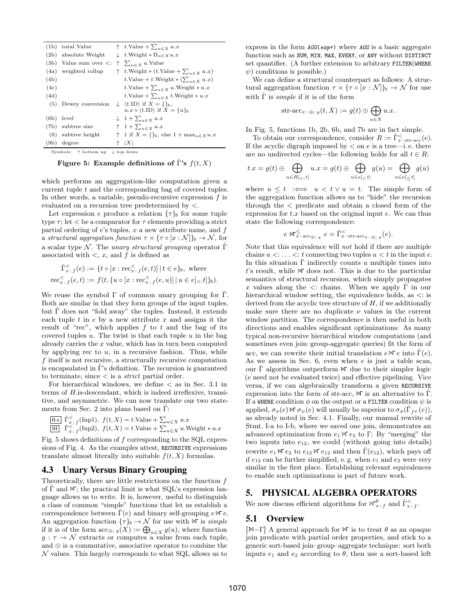|                                               | $(1b)$ total Value            |  | $\uparrow$ t.Value + $\sum_{u \in X} u.x$                     |  |
|-----------------------------------------------|-------------------------------|--|---------------------------------------------------------------|--|
|                                               | $(2b)$ absolute Weight        |  | $\downarrow$ t. Weight $\ast \Pi_{u \in X} u.x$               |  |
|                                               | $(3b)$ Value sum over $\lt$ : |  | $\uparrow \sum_{u \in X} u$ . Value                           |  |
|                                               | (4a) weighted rollup          |  | $\uparrow$ t. Weight $*(t.\text{Value} + \sum_{u \in X} u.x)$ |  |
| (4b)                                          |                               |  | t.Value + t.Weight * $(\sum_{u \in X} u.x)$                   |  |
| (4c)                                          |                               |  | t.Value + $\sum_{u \in X} u$ .Weight * u.x                    |  |
| (4d)                                          |                               |  | t.Value + $\sum_{u \in X} t$ .Weight * u.x                    |  |
| (5)                                           | Dewey conversion              |  | $\downarrow$ $\langle t$ .ID if $X = \{\}_b$ ,                |  |
|                                               |                               |  | $u.x \circ \langle t.\text{ID} \rangle$ if $X = \{u\}_b$      |  |
|                                               | $(6b)$ level                  |  | $\downarrow$ 1 + $\sum_{u \in X} u.x$                         |  |
|                                               | (7b) subtree size             |  | $\uparrow$ 1 + $\sum_{u \in X} u.x$                           |  |
|                                               | $(8)$ subtree height          |  | $\uparrow$ 1 if $X = \{\}_b$ , else $1 + \max_{u \in X} u.x$  |  |
|                                               | $(9b)$ degree                 |  | $\uparrow$ $ X $                                              |  |
| Symbols: ↑ bottom up<br>$\downarrow$ top down |                               |  |                                                               |  |

Figure 5: Example definitions of Γ's  $f(t, X)$ 

which performs an aggregation-like computation given a current tuple t and the corresponding bag of covered tuples. In other words, a variable, pseudo-recursive expression  $f$  is evaluated on a recursion tree predetermined by <.

Let expression e produce a relation  $\{\tau\}_b$  for some tuple type  $\tau$ ; let  $\lt$  be a comparator for  $\tau$  elements providing a strict partial ordering of  $e$ 's tuples,  $x$  a new attribute name, and  $f$ a structural aggregation function  $\tau \times {\{\tau \circ [x : \mathcal{N}]\}_b} \to \mathcal{N}$ , for a scalar type N. The unary structural grouping operator  $\hat{\Gamma}$ associated with  $\lt$ , x, and f is defined as

$$
\hat{\Gamma}_{x \,:\, f}^{\le}(e) := \{ t \circ [x : \text{rec}_{x \,:\, f}^{\le}(e, t)] \,|\, t \in e \}_b, \text{ where}
$$
\n
$$
\text{rec}_{x \,:\, f}^{\le}(e, t) := f(t, \{ u \circ [x : \text{rec}_{x \,:\, f}^{\le}(e, u)] \,|\, u \in e[\langle x, t] \}_b).
$$

We reuse the symbol  $\Gamma$  of common unary grouping for  $\hat{\Gamma}$ . Both are similar in that they form groups of the input tuples, but  $\hat{\Gamma}$  does not "fold away" the tuples. Instead, it extends each tuple  $t$  in  $e$  by a new attribute  $x$  and assigns it the result of "rec", which applies  $f$  to  $t$  and the bag of its covered tuples  $u$ . The twist is that each tuple  $u$  in the bag already carries the  $x$  value, which has in turn been computed by applying rec to  $u$ , in a recursive fashion. Thus, while f itself is not recursive, a structurally recursive computation is encapsulated in Γˆ's definition. The recursion is guaranteed to terminate, since  $\lt$  is a *strict* partial order.

For hierarchical windows, we define  $\lt$  as in Sec. 3.1 in terms of H.is-descendant, which is indeed irreflexive, transitive, and asymmetric. We can now translate our two statements from Sec. 2 into plans based on  $\Gamma$ :

$$
\boxed{\frac{\text{II-c}}{\text{III}} \hat{\Gamma}_{x \, : \, f}^{\leq}( \text{Inp1}), \ f(t, X) = t.\text{Value} + \sum_{u \in X} u.x} \\ \boxed{\text{III}} \ \ \hat{\Gamma}_{x \, : \, f}^{\leq}( \text{Inp2}), \ f(t, X) = t.\text{Value} + \sum_{u \in X} u.\text{Weight} * u.x
$$

Fig. 5 shows definitions of  $f$  corresponding to the SQL expressions of Fig. 4. As the examples attest, RECURSIVE expressions translate almost literally into suitable  $f(t, X)$  formulas.

#### 4.3 Unary Versus Binary Grouping

Theoretically, there are little restrictions on the function f of  $\Gamma$  and  $\mathcal{N}$ ; the practical limit is what SQL's expression language allows us to write. It is, however, useful to distinguish a class of common "simple" functions that let us establish a correspondence between  $\Gamma(e)$  and binary self-grouping  $e \bowtie e$ . An aggregation function  $\{\tau\}_b \to \mathcal{N}$  for use with  $\forall \tau$  is simple if it is of the form  $\operatorname{acc}_{\oplus; g}(X) := \bigoplus_{u \in X} g(u)$ , where function  $g: \tau \to \mathcal{N}$  extracts or computes a value from each tuple, and ⊕ is a commutative, associative operator to combine the  $\mathcal N$  values. This largely corresponds to what SQL allows us to

express in the form  $AGG(expr)$  where  $AGG$  is a basic aggregate function such as SUM, MIN, MAX, EVERY, or ANY without DISTINCT set quantifier. (A further extension to arbitrary FILTER(WHERE  $\psi$ ) conditions is possible.)

We can define a structural counterpart as follows: A structural aggregation function  $\tau \times {\tau \circ [x : \mathcal{N}]}_b \to \mathcal{N}$  for use with  $\hat{\Gamma}$  is *simple* if it is of the form

$$
\text{str-acc}_{x\colon\oplus;\;g}(t,X)\mathrel{\mathop:}= g(t)\oplus\bigoplus_{u\in X}u.x.
$$

In Fig. 5, functions 1b, 2b, 6b, and 7b are in fact simple.

To obtain our correspondence, consider  $R := \hat{\Gamma}_{x \text{ : str-acc}}^{\lt} (e)$ . If the acyclic digraph imposed by  $\lt$  on  $e$  is a tree—i.e. there are no undirected cycles—the following holds for all  $t \in R$ :

$$
t.x = g(t) \oplus \bigoplus_{u \in R[<, t]} u.x = g(t) \oplus \bigoplus_{u \in e[
$$

where  $u \leq t \iff u \leq t \lor u = t$ . The simple form of the aggregation function allows us to "hide" the recursion through the < predicate and obtain a closed form of the expression for  $t.x$  based on the original input  $e$ . We can thus state the following correspondence:

$$
e \boxtimes^{\leq}_{x:\,\mathrm{acc}_{\bigoplus;\,g}} e = \hat{\Gamma}^{\leq}_{x:\,\mathrm{str-acc}_{x:\,\oplus;\,g}}(e).
$$

Note that this equivalence will not hold if there are multiple chains  $u \leq \ldots \leq t$  connecting two tuples  $u \leq t$  in the input e. In this situation  $\Gamma$  indirectly counts u multiple times into  $t$ 's result, while  $\mathbb N$  does not. This is due to the particular semantics of structural recursion, which simply propagates x values along the  $\lt$ : chains. When we apply  $\Gamma$  in our hierarchical window setting, the equivalence holds, as  $\lt$ : is derived from the acyclic tree structure of  $H$ , if we additionally make sure there are no duplicate  $\nu$  values in the current window partition. The correspondence is then useful in both directions and enables significant optimizations: As many typical non-recursive hierarchical window computations (and sometimes even join–group-aggregate queries) fit the form of acc, we can rewrite their initial translation  $e \mathcal{R} e$  into  $\hat{\Gamma}(e)$ . As we assess in Sec. 6, even when e is just a table scan, our  $\Gamma$  algorithms outperform  $\mathcal N$  due to their simpler logic (e need not be evaluated twice) and effective pipelining. Vice versa, if we can algebraically transform a given RECURSIVE expression into the form of str-acc,  $\mathbb{N}$  is an alternative to  $\Gamma$ . If a WHERE condition  $\phi$  on the output or a FILTER condition  $\psi$  is applied,  $\sigma_{\phi}(e) \bowtie \sigma_{\psi}(e)$  will usually be superior to  $\sigma_{\phi}(\hat{\Gamma}_{f^{\psi}}(e)),$ as already noted in Sec. 4.1. Finally, our manual rewrite of Stmt. I-a to I-b, where we saved one join, demonstrates an advanced optimization from  $e_1 \bowtie e_2$  to Γ: By "merging" the two inputs into  $e_{12}$ , we could (without going into details) rewrite  $e_1 \bowtie e_2$  to  $e_{12} \bowtie e_{12}$  and then  $\hat{\Gamma}(e_{12})$ , which pays off if  $e_{12}$  can be further simplified, e.g. when  $e_1$  and  $e_2$  were very similar in the first place. Establishing relevant equivalences to enable such optimizations is part of future work.

#### 5. PHYSICAL ALGEBRA OPERATORS

We now discuss efficient algorithms for  $\mathbb{M}^{\theta}_{x+f}$  and  $\hat{\Gamma}^{\leq}_{x+f}$ .

#### 5.1 Overview

[ $\mathbb{M}-\Gamma$ ] A general approach for  $\mathbb{M}$  is to treat  $\theta$  as an opaque join predicate with partial order properties, and stick to a generic sort-based join–group–aggregate technique: sort both inputs  $e_1$  and  $e_2$  according to  $\theta$ , then use a sort-based left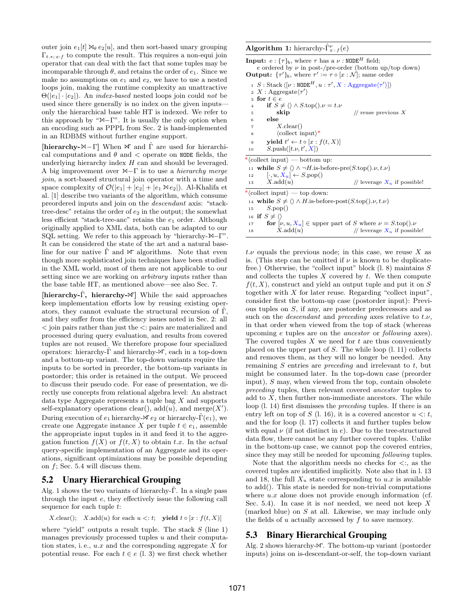outer join  $e_1[t] \mathcal{A}_{\theta} e_2[u]$ , and then sort-based unary grouping  $\Gamma_{t.*; x:f}$  to compute the result. This requires a non-equi join operator that can deal with the fact that some tuples may be incomparable through  $\theta$ , and retains the order of  $e_1$ . Since we make no assumptions on  $e_1$  and  $e_2$ , we have to use a nested loops join, making the runtime complexity an unattractive  $\Theta(|e_1| \cdot |e_2|)$ . An *index-based* nested loops join could not be used since there generally is no index on the given inputs only the hierarchical base table HT is indexed. We refer to this approach by " $\mathbb{N}-\Gamma$ ". It is usually the only option when an encoding such as PPPL from Sec. 2 is hand-implemented in an RDBMS without further engine support.

[hierarchy- $\mathbb{N}-\Gamma$ ] When  $\mathbb{N}$  and  $\hat{\Gamma}$  are used for hierarchical computations and  $\theta$  and  $\theta$  operate on NODE fields, the underlying hierarchy index  $H$  can and should be leveraged. A big improvement over  $\mathbb{M}-\Gamma$  is to use a *hierarchy merge* join, a sort-based structural join operator with a time and space complexity of  $\mathcal{O}(|e_1| + |e_2| + |e_1 \boxtimes e_2|)$ . Al-Khalifa et al. [1] describe two variants of the algorithm, which consume preordered inputs and join on the descendant axis: "stacktree-desc" retains the order of  $e_2$  in the output; the somewhat less efficient "stack-tree-anc" retains the  $e_1$  order. Although originally applied to XML data, both can be adapted to our SQL setting. We refer to this approach by "hierarchy- $\mathbb{M}-\Gamma$ ". It can be considered the state of the art and a natural baseline for our native  $\hat{\Gamma}$  and  $\mathcal{M}$  algorithms. Note that even though more sophisticated join techniques have been studied in the XML world, most of them are not applicable to our setting since we are working on *arbitrary* inputs rather than the base table HT, as mentioned above—see also Sec. 7.

[hierarchy- $\hat{\Gamma}$ , hierarchy- $\mathbb{M}$ ] While the said approaches keep implementation efforts low by reusing existing operators, they cannot evaluate the structural recursion of  $\hat{\Gamma}$ , and they suffer from the efficiency issues noted in Sec. 2: all < join pairs rather than just the <: pairs are materialized and processed during query evaluation, and results from covered tuples are not reused. We therefore propose four specialized operators: hierarchy- $\Gamma$  and hierarchy- $\mathcal N$ , each in a top-down and a bottom-up variant. The top-down variants require the inputs to be sorted in preorder, the bottom-up variants in postorder; this order is retained in the output. We proceed to discuss their pseudo code. For ease of presentation, we directly use concepts from relational algebra level: An abstract data type Aggregate represents a tuple bag X and supports self-explanatory operations clear(),  $add(u)$ , and merge $(X')$ . During execution of  $e_1$  hierarchy- $\mathcal{F}e_2$  or hierarchy- $\hat{\Gamma}(e_1)$ , we create one Aggregate instance X per tuple  $t \in e_1$ , assemble the appropriate input tuples in it and feed it to the aggregation function  $f(X)$  or  $f(t, X)$  to obtain t.x. In the actual query-specific implementation of an Aggregate and its operations, significant optimizations may be possible depending on  $f$ ; Sec. 5.4 will discuss them.

# 5.2 Unary Hierarchical Grouping

Alg. 1 shows the two variants of hierarchy- $\hat{\Gamma}$ . In a single pass through the input e, they effectively issue the following call sequence for each tuple t:

 $X$ .clear();  $X$ .add(u) for each  $u \leq t$ ; yield  $t \circ [x : f(t, X)]$ 

where "yield" outputs a result tuple. The stack  $S$  (line 1) manages previously processed tuples  $u$  and their computation states, i.e.,  $u.x$  and the corresponding aggregate X for potential reuse. For each  $t \in e$  (l. 3) we first check whether

# **Algorithm 1:** hierarchy- $\hat{\Gamma}_{x+f}^{\nu}(e)$

| o                                                                                                                                          |  |  |  |  |  |  |
|--------------------------------------------------------------------------------------------------------------------------------------------|--|--|--|--|--|--|
| <b>Input:</b> $e: {\tau}_b$ , where $\tau$ has a $\nu: \text{NODE}^H$ field;<br>e ordered by $\nu$ in post-/pre-order (bottom up/top down) |  |  |  |  |  |  |
| <b>Output:</b> $\{\tau'\}_b$ , where $\tau' := \tau \circ [x : \mathcal{N}]$ ; same order                                                  |  |  |  |  |  |  |
| $1 S : \text{Stack } \langle[\nu : \texttt{NODE}^H, u : \tau', X : \text{Aggregate}(\tau')]\rangle$                                        |  |  |  |  |  |  |
| 2 X : Aggregate $\langle \tau' \rangle$                                                                                                    |  |  |  |  |  |  |
| 3 for $t \in e$                                                                                                                            |  |  |  |  |  |  |
| if $S \neq \langle \rangle \wedge S \cdot \text{top}(\cdot) \cdot \nu = t \cdot \nu$<br>$\overline{4}$                                     |  |  |  |  |  |  |
| skip<br>// reuse previous $X$<br>5                                                                                                         |  |  |  |  |  |  |
| else<br>6                                                                                                                                  |  |  |  |  |  |  |
| $X$ .clear()<br>$\overline{7}$                                                                                                             |  |  |  |  |  |  |
| $\langle$ collect input $\rangle^*$<br>8                                                                                                   |  |  |  |  |  |  |
| <b>yield</b> $t' \leftarrow t \circ [x : f(t, X)]$<br>9                                                                                    |  |  |  |  |  |  |
| $S.\text{push}([t.\nu, t', X])$<br>10                                                                                                      |  |  |  |  |  |  |
| $*\langle$ collect input $\rangle$ — bottom up:                                                                                            |  |  |  |  |  |  |
| 11 while $S \neq \langle \rangle \wedge \neg H$ is-before-pre $(S \cdot \text{top}(\cdot), \nu, t \cdot \nu)$                              |  |  |  |  |  |  |
| $[\cdot, u, X_u] \leftarrow S.\text{pop}()$<br>12                                                                                          |  |  |  |  |  |  |
| $X.\text{add}(u)$<br>// leverage $X_u$ if possible!<br>13                                                                                  |  |  |  |  |  |  |
| * $\langle$ collect input $\rangle$ — top down:                                                                                            |  |  |  |  |  |  |
| 14 while $S \neq \langle \rangle \wedge H$ is-before-post( $S$ top(). $\nu, t.\nu$ )                                                       |  |  |  |  |  |  |
| S.pop()<br>15                                                                                                                              |  |  |  |  |  |  |
| 16 if $S \neq \langle \rangle$                                                                                                             |  |  |  |  |  |  |
| for $[\nu, u, X_u] \in$ upper part of S where $\nu = S.\text{top}() \cdot \nu$<br>17                                                       |  |  |  |  |  |  |
| $X.\text{add}(u)$<br>// leverage $X_u$ if possible!<br>18                                                                                  |  |  |  |  |  |  |

 $t.\nu$  equals the previous node; in this case, we reuse X as is. (This step can be omitted if  $\nu$  is known to be duplicatefree.) Otherwise, the "collect input" block  $(1, 8)$  maintains  $S$ and collects the tuples  $X$  covered by  $t$ . We then compute  $f(t, X)$ , construct and yield an output tuple and put it on S together with  $X$  for later reuse. Regarding "collect input". consider first the bottom-up case (postorder input): Previous tuples on S, if any, are postorder predecessors and as such on the *descendant* and *preceding* axes relative to  $t.\nu$ , in that order when viewed from the top of stack (whereas upcoming e tuples are on the ancestor or following axes). The covered tuples  $X$  we need for  $t$  are thus conveniently placed on the upper part of  $S$ . The while loop  $(l. 11)$  collects and removes them, as they will no longer be needed. Any remaining  $S$  entries are *preceding* and irrelevant to  $t$ , but might be consumed later. In the top-down case (preorder input),  $S$  may, when viewed from the top, contain obsolete preceding tuples, then relevant covered ancestor tuples to add to  $X$ , then further non-immediate ancestors. The while loop (l. 14) first dismisses the preceding tuples. If there is an entry left on top of S (l. 16), it is a covered ancestor  $u \leq t$ , and the for loop (l. 17) collects it and further tuples below with equal  $\nu$  (if not distinct in e). Due to the tree-structured data flow, there cannot be any further covered tuples. Unlike in the bottom-up case, we cannot pop the covered entries, since they may still be needed for upcoming following tuples.

Note that the algorithm needs no checks for  $\lt$ :, as the covered tuples are identified implicitly. Note also that in l. 13 and 18, the full  $X_u$  state corresponding to u.x is available to add(). This state is needed for non-trivial computations where  $u.x$  alone does not provide enough information (cf. Sec. 5.4). In case it is *not* needed, we need not keep  $X$ (marked blue) on S at all. Likewise, we may include only the fields of  $u$  actually accessed by  $f$  to save memory.

#### 5.3 Binary Hierarchical Grouping

Alg. 2 shows hierarchy- $\mathcal X$ . The bottom-up variant (postorder inputs) joins on is-descendant-or-self, the top-down variant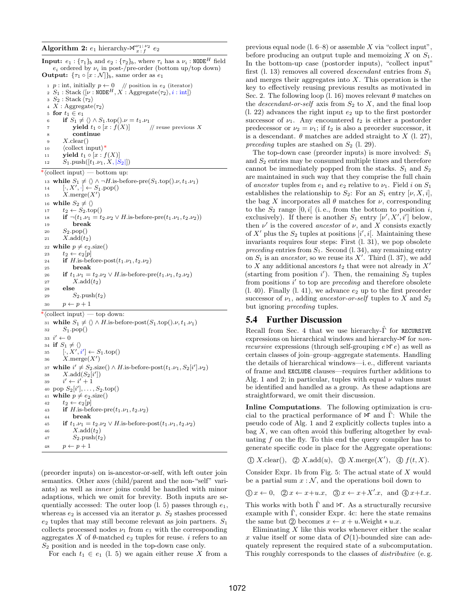**Input:**  $e_1$  : { $\tau_1$ }<sub>b</sub> and  $e_2$  : { $\tau_2$ }<sub>b</sub>, where  $\tau_i$  has a  $\nu_i$  : NODE<sup>H</sup> field  $e_i$  ordered by  $\nu_i$  in post-/pre-order (bottom up/top down) **Output:**  $\{\tau_1 \circ [x : \mathcal{N}]\}_b$ , same order as  $e_1$ 1 p : int, initially  $p \leftarrow 0$  // position in  $e_2$  (iterator)<br>2  $S_1$ : Stack  $\langle \lbrack \nu : \text{NODE}^H, X : \text{Aggregate} \langle \tau_2 \rangle, i : \text{int} \rangle$ 3  $S_2$ : Stack  $\langle \tau_2 \rangle$ 4 X : Aggregate $\langle \tau_2 \rangle$ 5 for  $t_1 \in e_1$ 6 if  $S_1 \neq \langle \rangle \wedge S_1 \cdot \text{top}(\cdot) \cdot \nu = t_1 \cdot \nu_1$ <br>7 vield  $t_1 \circ [x : f(X)]$  // reuse previous X 7 **yield**  $t_1 \circ [x : f(X)]$ <sup>8</sup> continue  $9$  X.clear() 10  $\langle \text{collect input} \rangle^*$ 11 **yield**  $t_1 \circ [x : f(X)]$ 12  $S_1.\text{push}([t_1.\nu_1, X, |S_2|])$ \* $\langle$ collect input $\rangle$  — bottom up: 13 while  $S_1 \neq \langle \rangle \wedge \neg H$ .is-before-pre $(S_1 \cdot \text{top}(\) \cdot \nu, t_1 \cdot \nu_1)$ 14  $[\cdot, X', \cdot] \leftarrow S_1.\text{pop}()$ 15  $X.\text{merge}(X')$ 16 while  $S_2 \neq \langle \rangle$ 17  $t_2 \leftarrow S_2 \text{top}()$ 18 if  $\neg(t_1.\nu_1 = t_2.\nu_2 \lor H$ .is-before-pre $(t_1.\nu_1, t_2.\nu_2)$ ) <sup>19</sup> break 20  $S_2.\text{pop}()$ 21  $X.\text{add}(t_2)$ 22 while  $p \neq e_2$  size() 23  $t_2 \leftarrow e_2[p]$ 24 if H.is-before-post $(t_1.\nu_1, t_2.\nu_2)$ <sup>25</sup> break 26 if  $t_1.\nu_1 = t_2.\nu_2 \vee H$ .is-before-pre $(t_1.\nu_1, t_2.\nu_2)$ 27  $X.\text{add}(t_2)$ <br>28 **else** else 29  $S_2.\text{push}(t_2)$ 30  $p \leftarrow p + 1$  $*\langle$ collect input $\rangle$  — top down: 31 while  $S_1 \neq \langle \rangle \wedge H$ .is-before-post $(S_1 \cdot \text{top}(\cdot), \nu, t_1, \nu_1)$ 32  $S_1.\text{pop}()$ 33  $i' \leftarrow 0$ 34 if  $S_1 \neq \langle \rangle$ <br>35  $[\cdot, X', i'] \leftarrow S_1 \text{top}()$ 36  $X.\text{merge}(X')$ 37 while  $i' \neq S_2$ .size()  $\wedge$  H.is-before-post( $t_1.\nu_1, S_2[i'].\nu_2$ ) 38  $X.\text{add}(S_2[i'])$ <sup>39</sup> i  $\prime \leftarrow i' + 1$ 40 pop  $S_2[i'], \ldots, S_2.\text{top}()$ 41 while  $p \neq e_2$  size() 42  $t_2 \leftarrow e_2[p]$ 43 if H.is-before-pre $(t_1.\nu_1, t_2.\nu_2)$ <sup>44</sup> break 45 if  $t_1.\nu_1 = t_2.\nu_2 \vee H$ .is-before-post $(t_1.\nu_1, t_2.\nu_2)$ 46  $X.\text{add}(t_2)$ <br>47  $S_2.\text{push}(t_2)$  $S_2$ .push $(t_2)$ 48  $p \leftarrow p + 1$ 

(preorder inputs) on is-ancestor-or-self, with left outer join semantics. Other axes (child/parent and the non-"self" variants) as well as inner joins could be handled with minor adaptions, which we omit for brevity. Both inputs are sequentially accessed: The outer loop  $(1, 5)$  passes through  $e_1$ , whereas  $e_2$  is accessed via an iterator p.  $S_2$  stashes processed  $e_2$  tuples that may still become relevant as join partners.  $S_1$ collects processed nodes  $\nu_1$  from  $e_1$  with the corresponding aggregates X of  $\theta$ -matched  $e_2$  tuples for reuse. i refers to an  $S_2$  position and is needed in the top-down case only.

For each  $t_1 \in e_1$  (l. 5) we again either reuse X from a

previous equal node  $(1.6-8)$  or assemble X via "collect input", before producing an output tuple and memoizing  $X$  on  $S_1$ . In the bottom-up case (postorder inputs), "collect input" first (l. 13) removes all covered *descendant* entries from  $S_1$ and merges their aggregates into  $X$ . This operation is the key to effectively reusing previous results as motivated in Sec. 2. The following loop (l. 16) moves relevant  $\theta$  matches on the *descendant-or-self* axis from  $S_2$  to X, and the final loop  $(1, 22)$  advances the right input  $e_2$  up to the first postorder successor of  $\nu_1$ . Any encountered  $t_2$  is either a postorder predecessor or  $\nu_2 = \nu_1$ ; if  $t_2$  is also a preorder successor, it is a descendant.  $\theta$  matches are added straight to X (l. 27), preceding tuples are stashed on  $S_2$  (l. 29).

The top-down case (preorder inputs) is more involved:  $S_1$ and  $S_2$  entries may be consumed multiple times and therefore cannot be immediately popped from the stacks.  $S_1$  and  $S_2$ are maintained in such way that they comprise the full chain of ancestor tuples from  $e_1$  and  $e_2$  relative to  $\nu_1$ . Field i on  $S_1$ establishes the relationship to  $S_2$ : For an  $S_1$  entry  $[\nu, X, i]$ , the bag X incorporates all  $\theta$  matches for  $\nu$ , corresponding to the  $S_2$  range [0, i] (i.e., from the bottom to position i, exclusively). If there is another  $S_1$  entry  $[\nu', X', i']$  below, then  $\nu'$  is the covered *ancestor* of  $\nu$ , and X consists exactly of X' plus the  $S_2$  tuples at positions  $[i', i]$ . Maintaining these invariants requires four steps: First (l. 31), we pop obsolete preceding entries from  $S_1$ . Second (l. 34), any remaining entry on  $S_1$  is an *ancestor*, so we reuse its  $X'$ . Third (l. 37), we add to X any additional ancestors  $t_2$  that were not already in  $X'$ (starting from position  $i'$ ). Then, the remaining  $S_2$  tuples from positions  $i'$  to top are *preceding* and therefore obsolete  $(1. 40)$ . Finally  $(1. 41)$ , we advance  $e_2$  up to the first preorder successor of  $\nu_1$ , adding ancestor-or-self tuples to X and  $S_2$ but ignoring preceding tuples.

#### 5.4 Further Discussion

Recall from Sec. 4 that we use hierarchy- $\hat{\Gamma}$  for RECURSIVE expressions on hierarchical windows and hierarchy- $\mathcal N$  for nonrecursive expressions (through self-grouping  $e \mathcal{N} e$ ) as well as certain classes of join–group–aggregate statements. Handling the details of hierarchical windows—i. e., different variants of frame and EXCLUDE clauses—requires further additions to Alg. 1 and 2; in particular, tuples with equal  $\nu$  values must be identified and handled as a group. As these adaptions are straightforward, we omit their discussion.

Inline Computations. The following optimization is crucial to the practical performance of  $\mathbb{M}$  and  $\Gamma$ : While the pseudo code of Alg. 1 and 2 explicitly collects tuples into a bag  $X$ , we can often avoid this buffering altogether by evaluating  $f$  on the fly. To this end the query compiler has to generate specific code in place for the Aggregate operations:

$$
\textcircled{1} X \text{.clear}(), \textcircled{2} X \text{.add}(u), \textcircled{3} X \text{.merge}(X'), \textcircled{4} f(t, X).
$$

Consider Expr. 1b from Fig. 5: The actual state of  $X$  would be a partial sum  $x : \mathcal{N}$ , and the operations boil down to

$$
\textcircled{1} x \leftarrow 0, \quad \textcircled{2} x \leftarrow x + u.x, \quad \textcircled{3} x \leftarrow x + X'.x, \text{ and } \textcircled{4} x + t.x.
$$

This works with both  $\Gamma$  and  $\mathcal{M}$ . As a structurally recursive example with  $\Gamma$ , consider Expr. 4c: here the state remains the same but 2 becomes  $x \leftarrow x + u$ . Weight \* u.x.

Eliminating  $X$  like this works whenever either the scalar x value itself or some data of  $\mathcal{O}(1)$ -bounded size can adequately represent the required state of a subcomputation. This roughly corresponds to the classes of *distributive* (e.g.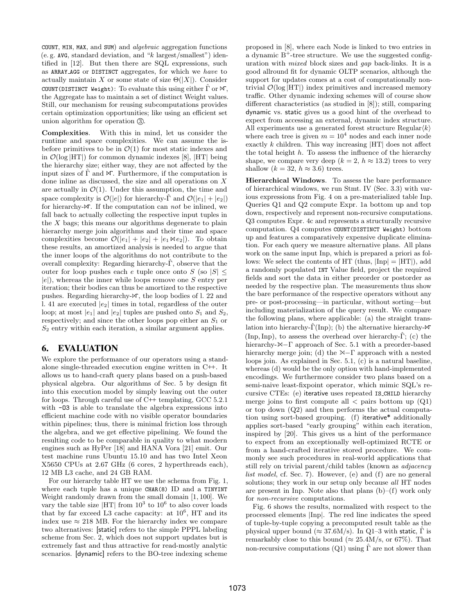COUNT, MIN, MAX, and SUM) and  $algebraic$  aggregation functions (e. g. AVG, standard deviation, and " $k$  largest/smallest") identified in [12]. But then there are SQL expressions, such as ARRAY AGG or DISTINCT aggregates, for which we have to actually maintain X or some state of size  $\Theta(|X|)$ . Consider COUNT(DISTINCT Weight): To evaluate this using either  $\hat{\Gamma}$  or  $\mathcal{M}$ , the Aggregate has to maintain a set of distinct Weight values. Still, our mechanism for reusing subcomputations provides certain optimization opportunities; like using an efficient set union algorithm for operation  $(3)$ .

Complexities. With this in mind, let us consider the runtime and space complexities. We can assume the isbefore primitives to be in  $\mathcal{O}(1)$  for most static indexes and in  $\mathcal{O}(\log |HT|)$  for common dynamic indexes [8],  $|HT|$  being the hierarchy size; either way, they are not affected by the input sizes of  $\Gamma$  and  $\mathcal{M}$ . Furthermore, if the computation is done inline as discussed, the size and all operations on X are actually in  $\mathcal{O}(1)$ . Under this assumption, the time and space complexity is  $\mathcal{O}(|e|)$  for hierarchy- $\hat{\Gamma}$  and  $\mathcal{O}(|e_1| + |e_2|)$ for hierarchy- $\mathcal X$ . If the computation can *not* be inlined, we fall back to actually collecting the respective input tuples in the  $X$  bags; this means our algorithms degenerate to plain hierarchy merge join algorithms and their time and space complexities become  $\mathcal{O}(|e_1| + |e_2| + |e_1 \boxtimes e_2|)$ . To obtain these results, an amortized analysis is needed to argue that the inner loops of the algorithms do not contribute to the overall complexity: Regarding hierarchy- $\Gamma$ , observe that the outer for loop pushes each e tuple once onto S (so  $|S| \leq$  $|e|$ , whereas the inner while loops remove one S entry per iteration; their bodies can thus be amortized to the respective pushes. Regarding hierarchy- $\mathcal{N}$ , the loop bodies of l. 22 and l. 41 are executed  $|e_2|$  times in total, regardless of the outer loop; at most  $|e_1|$  and  $|e_2|$  tuples are pushed onto  $S_1$  and  $S_2$ , respectively; and since the other loops pop either an  $S_1$  or  $S_2$  entry within each iteration, a similar argument applies.

# 6. EVALUATION

We explore the performance of our operators using a standalone single-threaded execution engine written in C++. It allows us to hand-craft query plans based on a push-based physical algebra. Our algorithms of Sec. 5 by design fit into this execution model by simply leaving out the outer for loops. Through careful use of C++ templating, GCC 5.2.1 with  $-03$  is able to translate the algebra expressions into efficient machine code with no visible operator boundaries within pipelines; thus, there is minimal friction loss through the algebra, and we get effective pipelining. We found the resulting code to be comparable in quality to what modern engines such as HyPer [18] and HANA Vora [21] emit. Our test machine runs Ubuntu 15.10 and has two Intel Xeon X5650 CPUs at 2.67 GHz (6 cores, 2 hyperthreads each), 12 MB L3 cache, and 24 GB RAM.

For our hierarchy table HT we use the schema from Fig. 1, where each tuple has a unique CHAR(8) ID and a TINYINT Weight randomly drawn from the small domain [1, 100]. We vary the table size  $|HT|$  from  $10^3$  to  $10^6$  to also cover loads that by far exceed L3 cache capacity: at  $10^6$ , HT and its index use  $\approx 218$  MB. For the hierarchy index we compare two alternatives: [static] refers to the simple PPPL labeling scheme from Sec. 2, which does not support updates but is extremely fast and thus attractive for read-mostly analytic scenarios. [dynamic] refers to the BO-tree indexing scheme

proposed in [8], where each Node is linked to two entries in a dynamic  $B^+$ -tree structure. We use the suggested configuration with mixed block sizes and gap back-links. It is a good allround fit for dynamic OLTP scenarios, although the support for updates comes at a cost of computationally nontrivial  $\mathcal{O}(\log |HT|)$  index primitives and increased memory traffic. Other dynamic indexing schemes will of course show different characteristics (as studied in [8]); still, comparing dynamic vs. static gives us a good hint of the overhead to expect from accessing an external, dynamic index structure. All experiments use a generated forest structure Regular $\langle k \rangle$ where each tree is given  $m = 10<sup>4</sup>$  nodes and each inner node exactly  $k$  children. This way increasing  $|HT|$  does not affect the total height  $h$ . To assess the influence of the hierarchy shape, we compare very deep  $(k = 2, h \approx 13.2)$  trees to very shallow  $(k = 32, h \approx 3.6)$  trees.

Hierarchical Windows. To assess the bare performance of hierarchical windows, we run Stmt. IV (Sec. 3.3) with various expressions from Fig. 4 on a pre-materialized table Inp. Queries Q1 and Q2 compute Expr. 1a bottom up and top down, respectively and represent non-recursive computations. Q3 computes Expr. 4c and represents a structurally recursive computation. Q4 computes COUNT(DISTINCT Weight) bottom up and features a comparatively expensive duplicate elimination. For each query we measure alternative plans. All plans work on the same input Inp, which is prepared a priori as follows: We select the contents of HT (thus,  $|Inp| = |HT|$ ), add a randomly populated INT Value field, project the required fields and sort the data in either preorder or postorder as needed by the respective plan. The measurements thus show the bare performance of the respective operators without any pre- or post-processing—in particular, without sorting—but including materialization of the query result. We compare the following plans, where applicable: (a) the straight translation into hierarchy- $\hat{\Gamma}(\text{Inp})$ ; (b) the alternative hierarchy- $\mathcal N$ (Inp, Inp), to assess the overhead over hierarchy- $\hat{\Gamma}$ ; (c) the hierarchy- $\mathbb{M}-\Gamma$  approach of Sec. 5.1 with a preorder-based hierarchy merge join; (d) the  $\mathbb{M}-\Gamma$  approach with a nested loops join. As explained in Sec. 5.1, (c) is a natural baseline, whereas (d) would be the only option with hand-implemented encodings. We furthermore consider two plans based on a semi-naive least-fixpoint operator, which mimic SQL's recursive CTEs: (e) iterative uses repeated IS CHILD hierarchy merge joins to first compute all  $\langle$  pairs bottom up (Q1) or top down (Q2) and then performs the actual computation using sort-based grouping. (f) iterative\* additionally applies sort-based "early grouping" within each iteration, inspired by [20]. This gives us a hint of the performance to expect from an exceptionally well-optimized RCTE or from a hand-crafted iterative stored procedure. We commonly see such procedures in real-world applications that still rely on trivial parent/child tables (known as adjacency list model, cf. Sec. 7). However, (e) and (f) are no general solutions; they work in our setup only because all HT nodes are present in Inp. Note also that plans (b)–(f) work only for non-recursive computations.

Fig. 6 shows the results, normalized with respect to the processed elements |Inp|. The red line indicates the speed of tuple-by-tuple copying a precomputed result table as the physical upper bound ( $\approx 37.6$ M/s). In Q1–3 with static,  $\hat{\Gamma}$  is remarkably close to this bound ( $\approx 25.4 \text{M/s}$ , or 67%). That non-recursive computations  $(Q1)$  using  $\Gamma$  are not slower than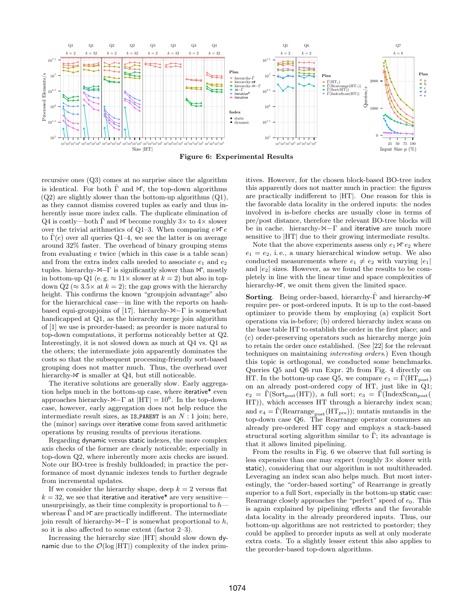

recursive ones (Q3) comes at no surprise since the algorithm is identical. For both  $\hat{\Gamma}$  and  $\mathcal{M}$ , the top-down algorithms  $(Q2)$  are slightly slower than the bottom-up algorithms  $(Q1)$ , as they cannot dismiss covered tuples as early and thus inherently issue more index calls. The duplicate elimination of Q4 is costly—both  $\hat{\Gamma}$  and  $\mathfrak{R}$  become roughly  $3\times$  to  $4\times$  slower over the trivial arithmetics of Q1–3. When comparing  $e \bowtie e$ to  $\hat{\Gamma}(e)$  over all queries Q1–4, we see the latter is on average around 32% faster. The overhead of binary grouping stems from evaluating e twice (which in this case is a table scan) and from the extra index calls needed to associate  $e_1$  and  $e_2$ tuples. hierarchy- $\mathbb{M}-\Gamma$  is significantly slower than  $\mathbb{M}$ , mostly in bottom-up Q1 (e.g.  $\approx 11 \times$  slower at  $k = 2$ ) but also in topdown Q2 ( $\approx 3.5 \times$  at  $k = 2$ ); the gap grows with the hierarchy height. This confirms the known "groupjoin advantage" also for the hierarchical case—in line with the reports on hashbased equi-groupjoins of [17]. hierarchy- $\mathbb{M}-\Gamma$  is somewhat handicapped at Q1, as the hierarchy merge join algorithm of [1] we use is preorder-based; as preorder is more natural to top-down computations, it performs noticeably better at Q2. Interestingly, it is not slowed down as much at Q4 vs. Q1 as the others; the intermediate join apparently dominates the costs so that the subsequent processing-friendly sort-based grouping does not matter much. Thus, the overhead over hierarchy- $\mathbb N$  is smaller at Q4, but still noticeable.

The iterative solutions are generally slow. Early aggregation helps much in the bottom-up case, where iterative\* even approaches hierarchy- $\mathbb{M}-\Gamma$  at  $|HT| = 10^6$ . In the top-down case, however, early aggregation does not help reduce the intermediate result sizes, as IS\_PARENT is an  $N:1$  join; here, the (minor) savings over iterative come from saved arithmetic operations by reusing results of previous iterations.

Regarding dynamic versus static indexes, the more complex axis checks of the former are clearly noticeable; especially in top-down Q2, where inherently more axis checks are issued. Note our BO-tree is freshly bulkloaded; in practice the performance of most dynamic indexes tends to further degrade from incremental updates.

If we consider the hierarchy shape, deep  $k = 2$  versus flat  $k = 32$ , we see that iterative and iterative\* are very sensitive unsurprisingly, as their time complexity is proportional to  $h$  whereas  $\Gamma$  and  $\mathcal N$  are practically indifferent. The intermediate join result of hierarchy- $\mathbb{M}-\Gamma$  is somewhat proportional to h, so it is also affected to some extent (factor 2–3).

Increasing the hierarchy size |HT| should slow down dynamic due to the  $\mathcal{O}(\log |HT|)$  complexity of the index primitives. However, for the chosen block-based BO-tree index this apparently does not matter much in practice: the figures are practically indifferent to |HT|. One reason for this is the favorable data locality in the ordered inputs: the nodes involved in is-before checks are usually close in terms of pre/post distance, therefore the relevant BO-tree blocks will be in cache. hierarchy- $\mathbb{N}-\Gamma$  and iterative are much more sensitive to |HT| due to their growing intermediate results.

Note that the above experiments assess only  $e_1 \bowtie e_2$  where  $e_1 = e_2$ , i.e., a unary hierarchical window setup. We also conducted measurements where  $e_1 \neq e_2$  with varying  $|e_1|$ and  $|e_2|$  sizes. However, as we found the results to be completely in line with the linear time and space complexities of hierarchy- $\mathbb{M}$ , we omit them given the limited space.

Sorting. Being order-based, hierarchy-Γ<sup>ρ</sup> and hierarchy- $\mathcal N$ require pre- or post-ordered inputs. It is up to the cost-based optimizer to provide them by employing (a) explicit Sort operations via is-before; (b) ordered hierarchy index scans on the base table HT to establish the order in the first place; and (c) order-preserving operators such as hierarchy merge join to retain the order once established. (See [22] for the relevant techniques on maintaining interesting orders.) Even though this topic is orthogonal, we conducted some benchmarks. Queries Q5 and Q6 run Expr. 2b from Fig. 4 directly on HT. In the bottom-up case Q5, we compare  $e_1 = \Gamma(\text{HT}_{\text{post}})$ on an already post-ordered copy of HT, just like in Q1;  $e_2 = \Gamma(\text{Sort}_{\text{post}}(HT))$ , a full sort;  $e_3 = \Gamma(\text{IndexScan}_{\text{post}}(T))$ HT)), which accesses HT through a hierarchy index scan; and  $e_4 = \Gamma(\text{Rearrange}_{\text{post}}(HT_{\text{pre}}))$ ; mutatis mutandis in the top-down case Q6. The Rearrange operator consumes an already pre-ordered HT copy and employs a stack-based structural sorting algorithm similar to Γ; its advantage is that it allows limited pipelining.

From the results in Fig. 6 we observe that full sorting is less expensive than one may expect (roughly  $3\times$  slower with static), considering that our algorithm is not multithreaded. Leveraging an index scan also helps much. But most interestingly, the "order-based sorting" of Rearrange is greatly superior to a full Sort, especially in the bottom-up static case: Rearrange closely approaches the "perfect" speed of  $e_0$ . This is again explained by pipelining effects and the favorable data locality in the already preordered inputs. Thus, our bottom-up algorithms are not restricted to postorder; they could be applied to preorder inputs as well at only moderate extra costs. To a slightly lesser extent this also applies to the preorder-based top-down algorithms.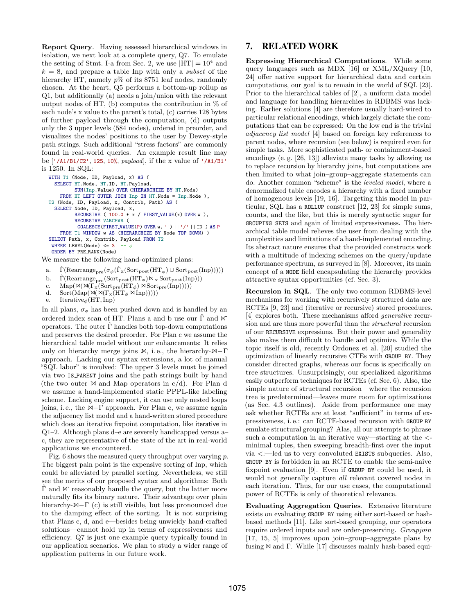Report Query. Having assessed hierarchical windows in isolation, we next look at a complete query, Q7. To emulate the setting of Stmt. I-a from Sec. 2, we use  $|HT| = 10^4$  and  $k = 8$ , and prepare a table Inp with only a *subset* of the hierarchy HT, namely  $p\%$  of its 8751 leaf nodes, randomly chosen. At the heart, Q5 performs a bottom-up rollup as Q1, but additionally (a) needs a join/union with the relevant output nodes of HT, (b) computes the contribution in  $\%$  of each node's x value to the parent's total, (c) carries 128 bytes of further payload through the computation, (d) outputs only the 3 upper levels (584 nodes), ordered in preorder, and visualizes the nodes' positions to the user by Dewey-style path strings. Such additional "stress factors" are commonly found in real-world queries. An example result line may be ['/A1/B1/C2', 125, 10%, payload], if the x value of '/A1/B1' is 1250. In SQL:

```
WITH T1 (Node, ID, Payload, x) AS (
  SELECT HT.Node, HT.ID, HT.Payload,
         SUM(Inp.Value) OVER (HIERARCHIZE BY HT.Node)
    FROM HT LEFT OUTER JOIN Inp ON HT. Node = Inp. Node ),
T2 (Node, ID, Payload, x, Contrib, Path) AS (
  SELECT Node, ID, Payload, x,
         RECURSIVE ( 100.0 * x / FIRST_VALUE(x) OVER w ),
         RECURSIVE VARCHAR (
          COALESCE(FIRST VALUE(P) OVER w, '') || '/' || ID ) AS P
    FROM T1 WINDOW w AS (HIERARCHIZE BY Node TOP DOWN) )
SELECT Path, x, Contrib, Payload FROM T2
 WHERE LEVEL(Node) \leq 3
 ORDER BY PRE RANK(Node)
```
We measure the following hand-optimized plans:

- a.  $\hat{\Gamma}(\text{Rearrange}_{\text{pre}}(\sigma_{\phi}(\hat{\Gamma}_{x}(\text{Sort}_{\text{post}}(HT_{\phi}) \cup \text{Sort}_{\text{post}}(Inp))))))$
- b.  $\hat{\Gamma}(\text{Rearrange}_{\text{pre}}(\text{Sort}_{\text{post}}(\text{HT}_{\phi}) \land \text{X}_{\text{x}} \text{Sort}_{\text{post}}(\text{Inp})))$
- c.  $\text{Map}(\mathbb{M}(\Gamma_x(\text{Sort}_{\text{pre}}(HT_{\phi})\times \text{Sort}_{\text{pre}}(Inp))))$ <br>d.  $\text{Sort}(\text{Map}(\mathbb{M}(\Gamma_x(HT_{\phi}\times Inp))))$
- $\mathrm{Sort}(\mathrm{Map}(\mathbb{M}(\Gamma_{\mathrm{x}}(\mathrm{HT}_\phi\;\mathbb{M}\,\mathrm{Inp})))))$
- e. Iterative<sub>φ</sub>(HT, Inp)

In all plans,  $\sigma_\phi$  has been pushed down and is handled by an ordered index scan of HT. Plans a and b use our  $\hat{\Gamma}$  and  $\mathbb{M}$ operators. The outer  $\Gamma$  handles both top-down computations and preserves the desired preorder. For Plan c we assume the hierarchical table model without our enhancements: It relies only on hierarchy merge joins  $\mathbb{M}$ , i.e., the hierarchy- $\mathbb{M}-\Gamma$ approach. Lacking our syntax extensions, a lot of manual "SQL labor" is involved: The upper 3 levels must be joined via two IS PARENT joins and the path strings built by hand (the two outer  $\bowtie$  and Map operators in c/d). For Plan d we assume a hand-implemented static PPPL-like labeling scheme. Lacking engine support, it can use only nested loops joins, i.e., the  $\mathbb{M}-\Gamma$  approach. For Plan e, we assume again the adjacency list model and a hand-written stored procedure which does an iterative fixpoint computation, like iterative in Q1–2. Although plans d–e are severely handicapped versus a– c, they are representative of the state of the art in real-world applications we encountered.

Fig. 6 shows the measured query throughput over varying p. The biggest pain point is the expensive sorting of Inp, which could be alleviated by parallel sorting. Nevertheless, we still see the merits of our proposed syntax and algorithms: Both  $\Gamma$  and  $\mathcal M$  reasonably handle the query, but the latter more naturally fits its binary nature. Their advantage over plain hierarchy- $\mathbb{M}-\Gamma$  (c) is still visible, but less pronounced due to the damping effect of the sorting. It is not surprising that Plans c, d, and e—besides being unwieldy hand-crafted solutions—cannot hold up in terms of expressiveness and efficiency. Q7 is just one example query typically found in our application scenarios. We plan to study a wider range of application patterns in our future work.

## 7. RELATED WORK

Expressing Hierarchical Computations. While some query languages such as MDX [16] or XML/XQuery [10, 24] offer native support for hierarchical data and certain computations, our goal is to remain in the world of SQL [23]. Prior to the hierarchical tables of [2], a uniform data model and language for handling hierarchies in RDBMS was lacking. Earlier solutions [4] are therefore usually hard-wired to particular relational encodings, which largely dictate the computations that can be expressed: On the low end is the trivial adjacency list model [4] based on foreign key references to parent nodes, where recursion (see below) is required even for simple tasks. More sophisticated path- or containment-based encodings (e. g. [26, 13]) alleviate many tasks by allowing us to replace recursion by hierarchy joins, but computations are then limited to what join–group–aggregate statements can do. Another common "scheme" is the leveled model, where a denormalized table encodes a hierarchy with a fixed number of homogenous levels [19, 16]. Targeting this model in particular, SQL has a ROLLUP construct [12, 23] for simple sums, counts, and the like, but this is merely syntactic sugar for GROUPING SETS and again of limited expressiveness. The hierarchical table model relieves the user from dealing with the complexities and limitations of a hand-implemented encoding. Its abstract nature ensures that the provided constructs work with a multitude of indexing schemes on the query/update performance spectrum, as surveyed in [8]. Moreover, its main concept of a NODE field encapsulating the hierarchy provides attractive syntax opportunities (cf. Sec. 3).

Recursion in SQL. The only two common RDBMS-level mechanisms for working with recursively structured data are RCTEs [9, 23] and (iterative or recursive) stored procedures. [4] explores both. These mechanisms afford generative recursion and are thus more powerful than the structural recursion of our RECURSIVE expressions. But their power and generality also makes them difficult to handle and optimize. While the topic itself is old, recently Ordonez et al. [20] studied the optimization of linearly recursive CTEs with GROUP BY. They consider directed graphs, whereas our focus is specifically on tree structures. Unsurprisingly, our specialized algorithms easily outperform techniques for RCTEs (cf. Sec. 6). Also, the simple nature of structural recursion—where the recursion tree is predetermined—leaves more room for optimizations (as Sec. 4.3 outlines). Aside from performance one may ask whether RCTEs are at least "sufficient" in terms of expressiveness, i. e.: can RCTE-based recursion with GROUP BY emulate structural grouping? Alas, all our attempts to phrase such a computation in an iterative way—starting at the  $\lt$ minimal tuples, then sweeping breadth-first over the input via <:—led us to very convoluted EXISTS subqueries. Also, GROUP BY is forbidden in an RCTE to enable the semi-naive fixpoint evaluation [9]. Even if GROUP BY could be used, it would not generally capture all relevant covered nodes in each iteration. Thus, for our use cases, the computational power of RCTEs is only of theoretical relevance.

Evaluating Aggregation Queries. Extensive literature exists on evaluating GROUP BY using either sort-based or hashbased methods [11]. Like sort-based grouping, our operators require ordered inputs and are order-preserving. Groupjoin [17, 15, 5] improves upon join–group–aggregate plans by fusing  $\bowtie$  and Γ. While [17] discusses mainly hash-based equi